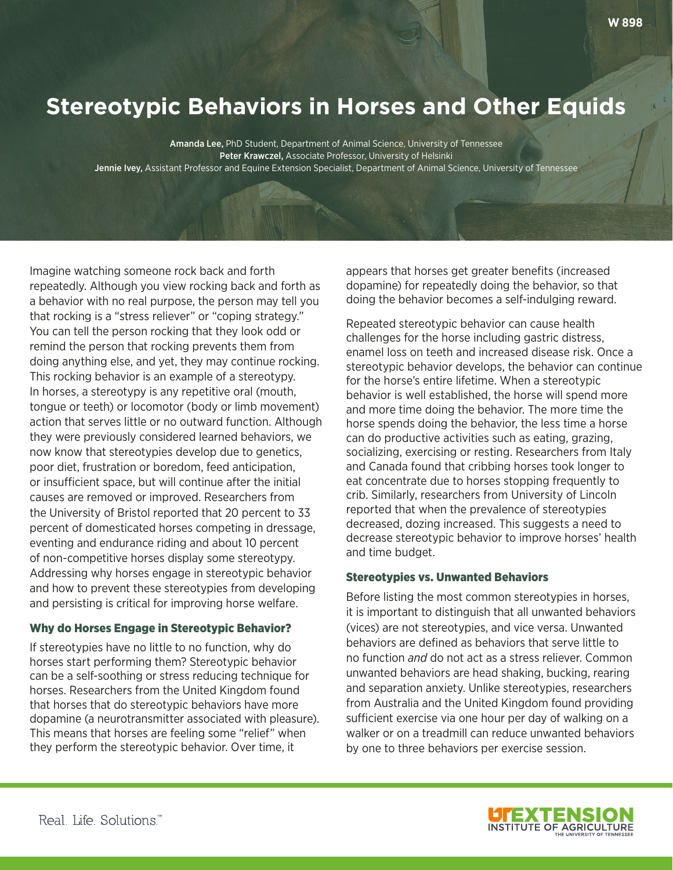# **Stereotypic Behaviors in Horses and Other Equids**

Amanda Lee, PhD Student, Department of Animal Science, University of Tennessee Peter Krawczel, Associate Professor, University of Helsinki Jennie Ivey, Assistant Professor and Equine Extension Specialist, Department of Animal Science, University of Tennessee

Imagine watching someone rock back and forth repeatedly. Although you view rocking back and forth as a behavior with no real purpose, the person may tell you that rocking is a "stress reliever" or "coping strategy." You can tell the person rocking that they look odd or remind the person that rocking prevents them from doing anything else, and yet, they may continue rocking. This rocking behavior is an example of a stereotypy. In horses, a stereotypy is any repetitive oral (mouth, tongue or teeth) or locomotor (body or limb movement) action that serves little or no outward function. Although they were previously considered learned behaviors, we now know that stereotypies develop due to genetics, poor diet, frustration or boredom, feed anticipation, or insufficient space, but will continue after the initial causes are removed or improved. Researchers from the University of Bristol reported that 20 percent to 33 percent of domesticated horses competing in dressage, eventing and endurance riding and about 10 percent of non-competitive horses display some stereotypy. Addressing why horses engage in stereotypic behavior and how to prevent these stereotypies from developing and persisting is critical for improving horse welfare.

## Why do Horses Engage in Stereotypic Behavior?

If stereotypies have no little to no function, why do horses start performing them? Stereotypic behavior can be a self-soothing or stress reducing technique for horses. Researchers from the United Kingdom found that horses that do stereotypic behaviors have more dopamine (a neurotransmitter associated with pleasure). This means that horses are feeling some "relief" when they perform the stereotypic behavior. Over time, it

appears that horses get greater benefits (increased dopamine) for repeatedly doing the behavior, so that doing the behavior becomes a self-indulging reward.

Repeated stereotypic behavior can cause health challenges for the horse including gastric distress, enamel loss on teeth and increased disease risk. Once a stereotypic behavior develops, the behavior can continue for the horse's entire lifetime. When a stereotypic behavior is well established, the horse will spend more and more time doing the behavior. The more time the horse spends doing the behavior, the less time a horse can do productive activities such as eating, grazing, socializing, exercising or resting. Researchers from Italy and Canada found that cribbing horses took longer to eat concentrate due to horses stopping frequently to crib. Similarly, researchers from University of Lincoln reported that when the prevalence of stereotypies decreased, dozing increased. This suggests a need to decrease stereotypic behavior to improve horses' health and time budget.

#### Stereotypies vs. Unwanted Behaviors

Before listing the most common stereotypies in horses, it is important to distinguish that all unwanted behaviors (vices) are not stereotypies, and vice versa. Unwanted behaviors are defned as behaviors that serve little to no function *and* do not act as a stress reliever. Common unwanted behaviors are head shaking, bucking, rearing and separation anxiety. Unlike stereotypies, researchers from Australia and the United Kingdom found providing sufficient exercise via one hour per day of walking on a walker or on a treadmill can reduce unwanted behaviors by one to three behaviors per exercise session.

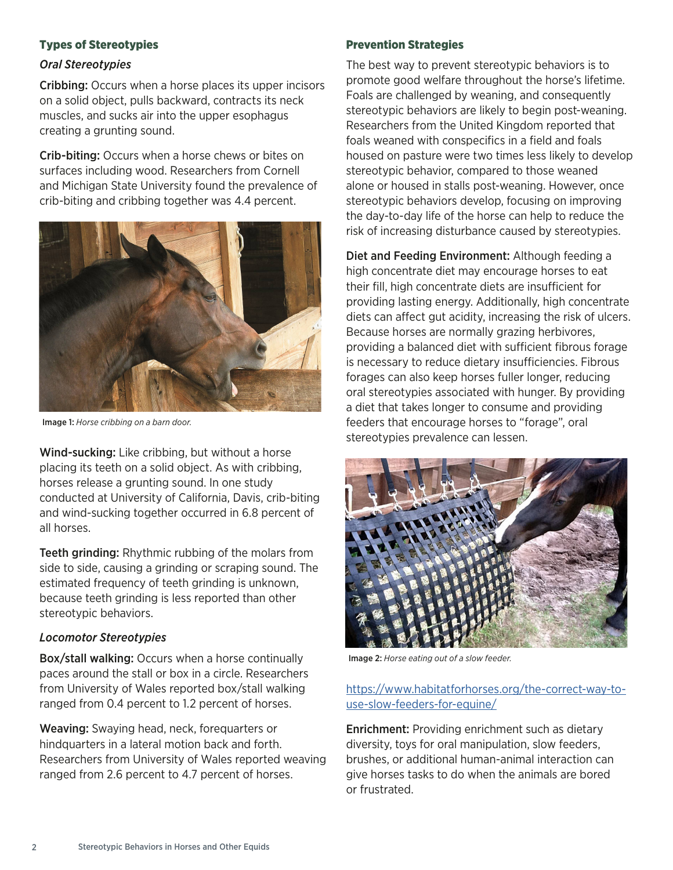# Types of Stereotypies

### *Oral Stereotypies*

Cribbing: Occurs when a horse places its upper incisors on a solid object, pulls backward, contracts its neck muscles, and sucks air into the upper esophagus creating a grunting sound.

Crib-biting: Occurs when a horse chews or bites on surfaces including wood. Researchers from Cornell and Michigan State University found the prevalence of crib-biting and cribbing together was 4.4 percent.



Image 1: *Horse cribbing on a barn door.*

Wind-sucking: Like cribbing, but without a horse placing its teeth on a solid object. As with cribbing, horses release a grunting sound. In one study conducted at University of California, Davis, crib-biting and wind-sucking together occurred in 6.8 percent of all horses.

Teeth grinding: Rhythmic rubbing of the molars from side to side, causing a grinding or scraping sound. The estimated frequency of teeth grinding is unknown, because teeth grinding is less reported than other stereotypic behaviors.

## *Locomotor Stereotypies*

Box/stall walking: Occurs when a horse continually paces around the stall or box in a circle. Researchers from University of Wales reported box/stall walking ranged from 0.4 percent to 1.2 percent of horses.

Weaving: Swaying head, neck, forequarters or hindquarters in a lateral motion back and forth. Researchers from University of Wales reported weaving ranged from 2.6 percent to 4.7 percent of horses.

#### Prevention Strategies

The best way to prevent stereotypic behaviors is to promote good welfare throughout the horse's lifetime. Foals are challenged by weaning, and consequently stereotypic behaviors are likely to begin post-weaning. Researchers from the United Kingdom reported that foals weaned with conspecifics in a field and foals housed on pasture were two times less likely to develop stereotypic behavior, compared to those weaned alone or housed in stalls post-weaning. However, once stereotypic behaviors develop, focusing on improving the day-to-day life of the horse can help to reduce the risk of increasing disturbance caused by stereotypies.

Diet and Feeding Environment: Although feeding a high concentrate diet may encourage horses to eat their fill, high concentrate diets are insufficient for providing lasting energy. Additionally, high concentrate diets can afect gut acidity, increasing the risk of ulcers. Because horses are normally grazing herbivores, providing a balanced diet with sufficient fibrous forage is necessary to reduce dietary insufficiencies. Fibrous forages can also keep horses fuller longer, reducing oral stereotypies associated with hunger. By providing a diet that takes longer to consume and providing feeders that encourage horses to "forage", oral stereotypies prevalence can lessen.



Image 2: *Horse eating out of a slow feeder.* 

# [https://www.habitatforhorses.org/the-correct-way-to](https://www.habitatforhorses.org/the-correct-way-to-use-slow-feeders-for-equine/)[use-slow-feeders-for-equine/](https://www.habitatforhorses.org/the-correct-way-to-use-slow-feeders-for-equine/)

Enrichment: Providing enrichment such as dietary diversity, toys for oral manipulation, slow feeders, brushes, or additional human-animal interaction can give horses tasks to do when the animals are bored or frustrated.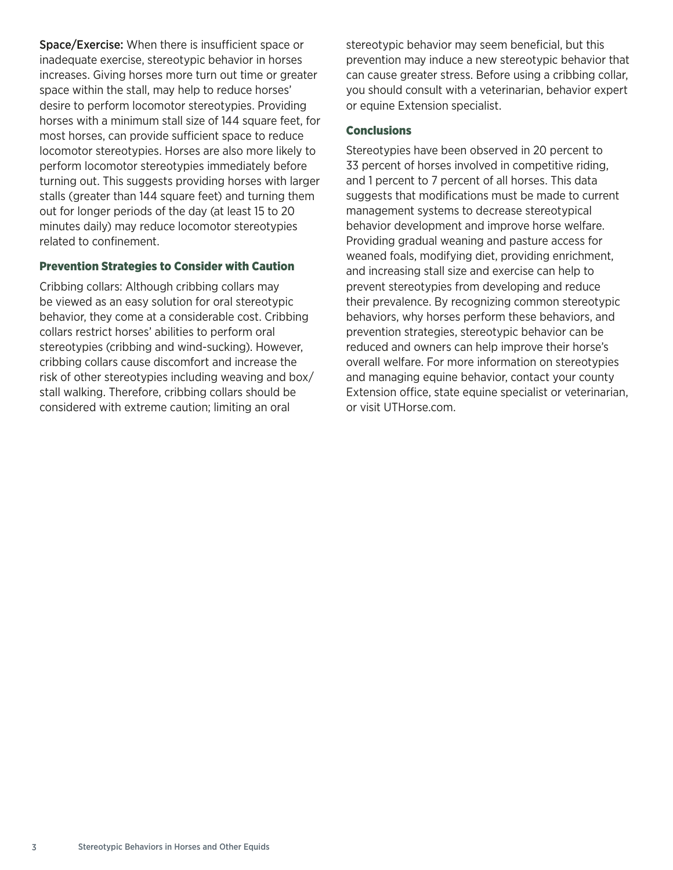Space/Exercise: When there is insufficient space or inadequate exercise, stereotypic behavior in horses increases. Giving horses more turn out time or greater space within the stall, may help to reduce horses' desire to perform locomotor stereotypies. Providing horses with a minimum stall size of 144 square feet, for most horses, can provide sufficient space to reduce locomotor stereotypies. Horses are also more likely to perform locomotor stereotypies immediately before turning out. This suggests providing horses with larger stalls (greater than 144 square feet) and turning them out for longer periods of the day (at least 15 to 20 minutes daily) may reduce locomotor stereotypies related to confinement.

#### Prevention Strategies to Consider with Caution

Cribbing collars: Although cribbing collars may be viewed as an easy solution for oral stereotypic behavior, they come at a considerable cost. Cribbing collars restrict horses' abilities to perform oral stereotypies (cribbing and wind-sucking). However, cribbing collars cause discomfort and increase the risk of other stereotypies including weaving and box/ stall walking. Therefore, cribbing collars should be considered with extreme caution; limiting an oral

stereotypic behavior may seem beneficial, but this prevention may induce a new stereotypic behavior that can cause greater stress. Before using a cribbing collar, you should consult with a veterinarian, behavior expert or equine Extension specialist.

#### **Conclusions**

Stereotypies have been observed in 20 percent to 33 percent of horses involved in competitive riding, and 1 percent to 7 percent of all horses. This data suggests that modifications must be made to current management systems to decrease stereotypical behavior development and improve horse welfare. Providing gradual weaning and pasture access for weaned foals, modifying diet, providing enrichment, and increasing stall size and exercise can help to prevent stereotypies from developing and reduce their prevalence. By recognizing common stereotypic behaviors, why horses perform these behaviors, and prevention strategies, stereotypic behavior can be reduced and owners can help improve their horse's overall welfare. For more information on stereotypies and managing equine behavior, contact your county Extension office, state equine specialist or veterinarian, or visit UTHorse.com.